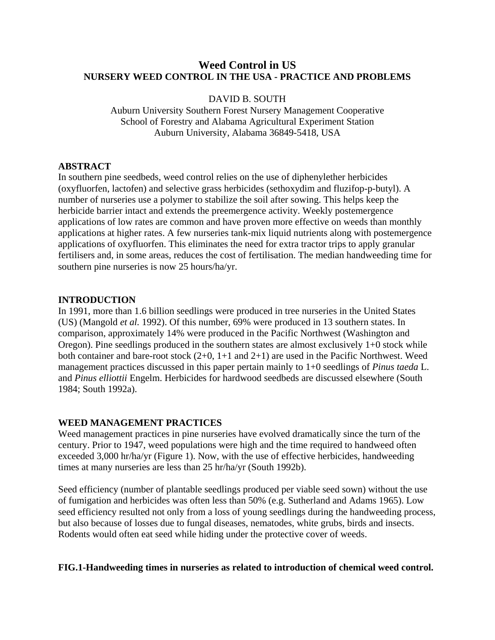# **Weed Control in US NURSERY WEED CONTROL IN THE USA - PRACTICE AND PROBLEMS**

### DAVID B. SOUTH

Auburn University Southern Forest Nursery Management Cooperative School of Forestry and Alabama Agricultural Experiment Station Auburn University, Alabama 36849-5418, USA

## **ABSTRACT**

In southern pine seedbeds, weed control relies on the use of diphenylether herbicides (oxyfluorfen, lactofen) and selective grass herbicides (sethoxydim and fluzifop-p-butyl). A number of nurseries use a polymer to stabilize the soil after sowing. This helps keep the herbicide barrier intact and extends the preemergence activity. Weekly postemergence applications of low rates are common and have proven more effective on weeds than monthly applications at higher rates. A few nurseries tank-mix liquid nutrients along with postemergence applications of oxyfluorfen. This eliminates the need for extra tractor trips to apply granular fertilisers and, in some areas, reduces the cost of fertilisation. The median handweeding time for southern pine nurseries is now 25 hours/ha/yr.

### **INTRODUCTION**

In 1991, more than 1.6 billion seedlings were produced in tree nurseries in the United States (US) (Mangold *et al.* 1992). Of this number, 69% were produced in 13 southern states. In comparison, approximately 14% were produced in the Pacific Northwest (Washington and Oregon). Pine seedlings produced in the southern states are almost exclusively 1+0 stock while both container and bare-root stock (2+0, 1+1 and 2+1) are used in the Pacific Northwest. Weed management practices discussed in this paper pertain mainly to 1+0 seedlings of *Pinus taeda* L. and *Pinus elliottii* Engelm. Herbicides for hardwood seedbeds are discussed elsewhere (South 1984; South 1992a).

# **WEED MANAGEMENT PRACTICES**

Weed management practices in pine nurseries have evolved dramatically since the turn of the century. Prior to 1947, weed populations were high and the time required to handweed often exceeded 3,000 hr/ha/yr (Figure 1). Now, with the use of effective herbicides, handweeding times at many nurseries are less than 25 hr/ha/yr (South 1992b).

Seed efficiency (number of plantable seedlings produced per viable seed sown) without the use of fumigation and herbicides was often less than 50% (e.g. Sutherland and Adams 1965). Low seed efficiency resulted not only from a loss of young seedlings during the handweeding process, but also because of losses due to fungal diseases, nematodes, white grubs, birds and insects. Rodents would often eat seed while hiding under the protective cover of weeds.

### **FIG.1-Handweeding times in nurseries as related to introduction of chemical weed control.**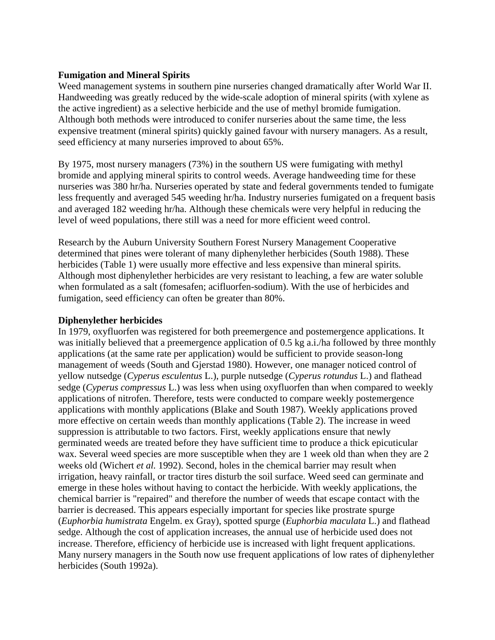### **Fumigation and Mineral Spirits**

Weed management systems in southern pine nurseries changed dramatically after World War II. Handweeding was greatly reduced by the wide-scale adoption of mineral spirits (with xylene as the active ingredient) as a selective herbicide and the use of methyl bromide fumigation. Although both methods were introduced to conifer nurseries about the same time, the less expensive treatment (mineral spirits) quickly gained favour with nursery managers. As a result, seed efficiency at many nurseries improved to about 65%.

By 1975, most nursery managers (73%) in the southern US were fumigating with methyl bromide and applying mineral spirits to control weeds. Average handweeding time for these nurseries was 380 hr/ha. Nurseries operated by state and federal governments tended to fumigate less frequently and averaged 545 weeding hr/ha. Industry nurseries fumigated on a frequent basis and averaged 182 weeding hr/ha. Although these chemicals were very helpful in reducing the level of weed populations, there still was a need for more efficient weed control.

Research by the Auburn University Southern Forest Nursery Management Cooperative determined that pines were tolerant of many diphenylether herbicides (South 1988). These herbicides (Table 1) were usually more effective and less expensive than mineral spirits. Although most diphenylether herbicides are very resistant to leaching, a few are water soluble when formulated as a salt (fomesafen; acifluorfen-sodium). With the use of herbicides and fumigation, seed efficiency can often be greater than 80%.

### **Diphenylether herbicides**

In 1979, oxyfluorfen was registered for both preemergence and postemergence applications. It was initially believed that a preemergence application of 0.5 kg a.i./ha followed by three monthly applications (at the same rate per application) would be sufficient to provide season-long management of weeds (South and Gjerstad 1980). However, one manager noticed control of yellow nutsedge (*Cyperus esculentus* L.), purple nutsedge (*Cyperus rotundus* L.) and flathead sedge (*Cyperus compressus* L.) was less when using oxyfluorfen than when compared to weekly applications of nitrofen. Therefore, tests were conducted to compare weekly postemergence applications with monthly applications (Blake and South 1987). Weekly applications proved more effective on certain weeds than monthly applications (Table 2). The increase in weed suppression is attributable to two factors. First, weekly applications ensure that newly germinated weeds are treated before they have sufficient time to produce a thick epicuticular wax. Several weed species are more susceptible when they are 1 week old than when they are 2 weeks old (Wichert *et al.* 1992). Second, holes in the chemical barrier may result when irrigation, heavy rainfall, or tractor tires disturb the soil surface. Weed seed can germinate and emerge in these holes without having to contact the herbicide. With weekly applications, the chemical barrier is "repaired" and therefore the number of weeds that escape contact with the barrier is decreased. This appears especially important for species like prostrate spurge (*Euphorbia humistrata* Engelm. ex Gray), spotted spurge (*Euphorbia maculata* L.) and flathead sedge. Although the cost of application increases, the annual use of herbicide used does not increase. Therefore, efficiency of herbicide use is increased with light frequent applications. Many nursery managers in the South now use frequent applications of low rates of diphenylether herbicides (South 1992a).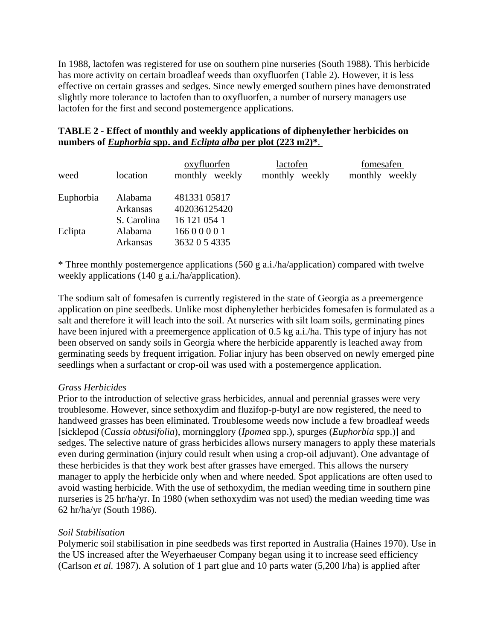In 1988, lactofen was registered for use on southern pine nurseries (South 1988). This herbicide has more activity on certain broadleaf weeds than oxyfluorfen (Table 2). However, it is less effective on certain grasses and sedges. Since newly emerged southern pines have demonstrated slightly more tolerance to lactofen than to oxyfluorfen, a number of nursery managers use lactofen for the first and second postemergence applications.

# **TABLE 2 - Effect of monthly and weekly applications of diphenylether herbicides on numbers of** *Euphorbia* **spp. and** *Eclipta alba* **per plot (223 m2)\***.

| weed      | location                                  | oxyfluorfen<br>monthly weekly             | lactofen<br>monthly weekly | fomesafen<br>monthly weekly |
|-----------|-------------------------------------------|-------------------------------------------|----------------------------|-----------------------------|
| Euphorbia | Alabama<br><b>Arkansas</b>                | 481331 05817<br>402036125420              |                            |                             |
| Eclipta   | S. Carolina<br>Alabama<br><b>Arkansas</b> | 16 121 054 1<br>16600001<br>3632 0 5 4335 |                            |                             |

\* Three monthly postemergence applications (560 g a.i./ha/application) compared with twelve weekly applications (140 g a.i./ha/application).

The sodium salt of fomesafen is currently registered in the state of Georgia as a preemergence application on pine seedbeds. Unlike most diphenylether herbicides fomesafen is formulated as a salt and therefore it will leach into the soil. At nurseries with silt loam soils, germinating pines have been injured with a preemergence application of 0.5 kg a.i./ha. This type of injury has not been observed on sandy soils in Georgia where the herbicide apparently is leached away from germinating seeds by frequent irrigation. Foliar injury has been observed on newly emerged pine seedlings when a surfactant or crop-oil was used with a postemergence application.

### *Grass Herbicides*

Prior to the introduction of selective grass herbicides, annual and perennial grasses were very troublesome. However, since sethoxydim and fluzifop-p-butyl are now registered, the need to handweed grasses has been eliminated. Troublesome weeds now include a few broadleaf weeds [sicklepod (*Cassia obtusifolia*), morningglory (*Ipomea* spp.), spurges (*Euphorbia* spp.)] and sedges. The selective nature of grass herbicides allows nursery managers to apply these materials even during germination (injury could result when using a crop-oil adjuvant). One advantage of these herbicides is that they work best after grasses have emerged. This allows the nursery manager to apply the herbicide only when and where needed. Spot applications are often used to avoid wasting herbicide. With the use of sethoxydim, the median weeding time in southern pine nurseries is 25 hr/ha/yr. In 1980 (when sethoxydim was not used) the median weeding time was 62 hr/ha/yr (South 1986).

# *Soil Stabilisation*

Polymeric soil stabilisation in pine seedbeds was first reported in Australia (Haines 1970). Use in the US increased after the Weyerhaeuser Company began using it to increase seed efficiency (Carlson *et al.* 1987). A solution of 1 part glue and 10 parts water (5,200 l/ha) is applied after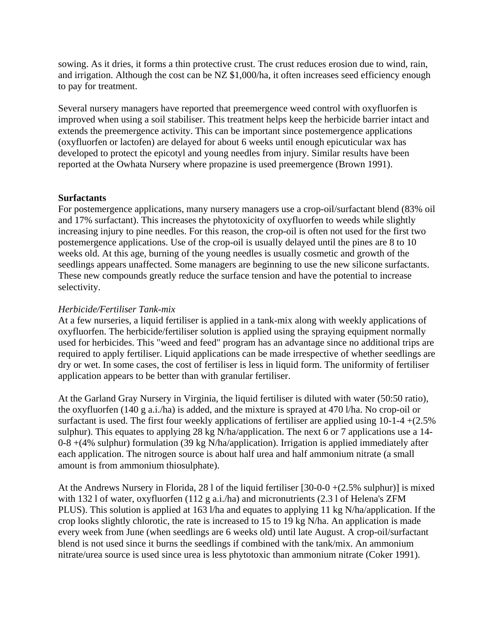sowing. As it dries, it forms a thin protective crust. The crust reduces erosion due to wind, rain, and irrigation. Although the cost can be NZ \$1,000/ha, it often increases seed efficiency enough to pay for treatment.

Several nursery managers have reported that preemergence weed control with oxyfluorfen is improved when using a soil stabiliser. This treatment helps keep the herbicide barrier intact and extends the preemergence activity. This can be important since postemergence applications (oxyfluorfen or lactofen) are delayed for about 6 weeks until enough epicuticular wax has developed to protect the epicotyl and young needles from injury. Similar results have been reported at the Owhata Nursery where propazine is used preemergence (Brown 1991).

### **Surfactants**

For postemergence applications, many nursery managers use a crop-oil/surfactant blend (83% oil and 17% surfactant). This increases the phytotoxicity of oxyfluorfen to weeds while slightly increasing injury to pine needles. For this reason, the crop-oil is often not used for the first two postemergence applications. Use of the crop-oil is usually delayed until the pines are 8 to 10 weeks old. At this age, burning of the young needles is usually cosmetic and growth of the seedlings appears unaffected. Some managers are beginning to use the new silicone surfactants. These new compounds greatly reduce the surface tension and have the potential to increase selectivity.

### *Herbicide/Fertiliser Tank-mix*

At a few nurseries, a liquid fertiliser is applied in a tank-mix along with weekly applications of oxyfluorfen. The herbicide/fertiliser solution is applied using the spraying equipment normally used for herbicides. This "weed and feed" program has an advantage since no additional trips are required to apply fertiliser. Liquid applications can be made irrespective of whether seedlings are dry or wet. In some cases, the cost of fertiliser is less in liquid form. The uniformity of fertiliser application appears to be better than with granular fertiliser.

At the Garland Gray Nursery in Virginia, the liquid fertiliser is diluted with water (50:50 ratio), the oxyfluorfen (140 g a.i./ha) is added, and the mixture is sprayed at 470 l/ha. No crop-oil or surfactant is used. The first four weekly applications of fertiliser are applied using  $10-1-4+(2.5\%)$ sulphur). This equates to applying 28 kg N/ha/application. The next 6 or 7 applications use a 14- 0-8 +(4% sulphur) formulation (39 kg N/ha/application). Irrigation is applied immediately after each application. The nitrogen source is about half urea and half ammonium nitrate (a small amount is from ammonium thiosulphate).

At the Andrews Nursery in Florida, 28 l of the liquid fertiliser  $[30-0-0+(2.5%)$  sulphur)] is mixed with 132 l of water, oxyfluorfen (112 g a.i./ha) and micronutrients (2.3 l of Helena's ZFM PLUS). This solution is applied at 163 l/ha and equates to applying 11 kg N/ha/application. If the crop looks slightly chlorotic, the rate is increased to 15 to 19 kg N/ha. An application is made every week from June (when seedlings are 6 weeks old) until late August. A crop-oil/surfactant blend is not used since it burns the seedlings if combined with the tank/mix. An ammonium nitrate/urea source is used since urea is less phytotoxic than ammonium nitrate (Coker 1991).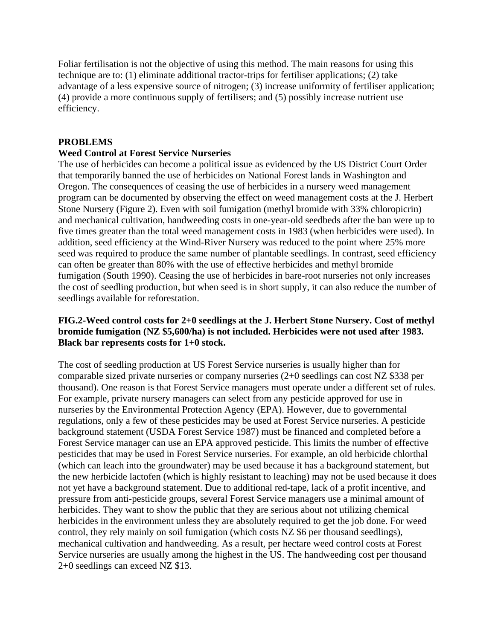Foliar fertilisation is not the objective of using this method. The main reasons for using this technique are to: (1) eliminate additional tractor-trips for fertiliser applications; (2) take advantage of a less expensive source of nitrogen; (3) increase uniformity of fertiliser application; (4) provide a more continuous supply of fertilisers; and (5) possibly increase nutrient use efficiency.

## **PROBLEMS**

### **Weed Control at Forest Service Nurseries**

The use of herbicides can become a political issue as evidenced by the US District Court Order that temporarily banned the use of herbicides on National Forest lands in Washington and Oregon. The consequences of ceasing the use of herbicides in a nursery weed management program can be documented by observing the effect on weed management costs at the J. Herbert Stone Nursery (Figure 2). Even with soil fumigation (methyl bromide with 33% chloropicrin) and mechanical cultivation, handweeding costs in one-year-old seedbeds after the ban were up to five times greater than the total weed management costs in 1983 (when herbicides were used). In addition, seed efficiency at the Wind-River Nursery was reduced to the point where 25% more seed was required to produce the same number of plantable seedlings. In contrast, seed efficiency can often be greater than 80% with the use of effective herbicides and methyl bromide fumigation (South 1990). Ceasing the use of herbicides in bare-root nurseries not only increases the cost of seedling production, but when seed is in short supply, it can also reduce the number of seedlings available for reforestation.

## **FIG.2-Weed control costs for 2+0 seedlings at the J. Herbert Stone Nursery. Cost of methyl bromide fumigation (NZ \$5,600/ha) is not included. Herbicides were not used after 1983. Black bar represents costs for 1+0 stock.**

The cost of seedling production at US Forest Service nurseries is usually higher than for comparable sized private nurseries or company nurseries (2+0 seedlings can cost NZ \$338 per thousand). One reason is that Forest Service managers must operate under a different set of rules. For example, private nursery managers can select from any pesticide approved for use in nurseries by the Environmental Protection Agency (EPA). However, due to governmental regulations, only a few of these pesticides may be used at Forest Service nurseries. A pesticide background statement (USDA Forest Service 1987) must be financed and completed before a Forest Service manager can use an EPA approved pesticide. This limits the number of effective pesticides that may be used in Forest Service nurseries. For example, an old herbicide chlorthal (which can leach into the groundwater) may be used because it has a background statement, but the new herbicide lactofen (which is highly resistant to leaching) may not be used because it does not yet have a background statement. Due to additional red-tape, lack of a profit incentive, and pressure from anti-pesticide groups, several Forest Service managers use a minimal amount of herbicides. They want to show the public that they are serious about not utilizing chemical herbicides in the environment unless they are absolutely required to get the job done. For weed control, they rely mainly on soil fumigation (which costs NZ \$6 per thousand seedlings), mechanical cultivation and handweeding. As a result, per hectare weed control costs at Forest Service nurseries are usually among the highest in the US. The handweeding cost per thousand 2+0 seedlings can exceed NZ \$13.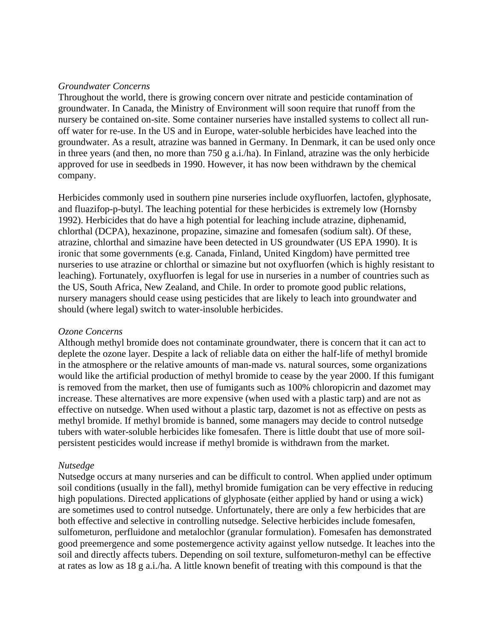#### *Groundwater Concerns*

Throughout the world, there is growing concern over nitrate and pesticide contamination of groundwater. In Canada, the Ministry of Environment will soon require that runoff from the nursery be contained on-site. Some container nurseries have installed systems to collect all runoff water for re-use. In the US and in Europe, water-soluble herbicides have leached into the groundwater. As a result, atrazine was banned in Germany. In Denmark, it can be used only once in three years (and then, no more than 750 g a.i./ha). In Finland, atrazine was the only herbicide approved for use in seedbeds in 1990. However, it has now been withdrawn by the chemical company.

Herbicides commonly used in southern pine nurseries include oxyfluorfen, lactofen, glyphosate, and fluazifop-p-butyl. The leaching potential for these herbicides is extremely low (Hornsby 1992). Herbicides that do have a high potential for leaching include atrazine, diphenamid, chlorthal (DCPA), hexazinone, propazine, simazine and fomesafen (sodium salt). Of these, atrazine, chlorthal and simazine have been detected in US groundwater (US EPA 1990). It is ironic that some governments (e.g. Canada, Finland, United Kingdom) have permitted tree nurseries to use atrazine or chlorthal or simazine but not oxyfluorfen (which is highly resistant to leaching). Fortunately, oxyfluorfen is legal for use in nurseries in a number of countries such as the US, South Africa, New Zealand, and Chile. In order to promote good public relations, nursery managers should cease using pesticides that are likely to leach into groundwater and should (where legal) switch to water-insoluble herbicides.

#### *Ozone Concerns*

Although methyl bromide does not contaminate groundwater, there is concern that it can act to deplete the ozone layer. Despite a lack of reliable data on either the half-life of methyl bromide in the atmosphere or the relative amounts of man-made vs. natural sources, some organizations would like the artificial production of methyl bromide to cease by the year 2000. If this fumigant is removed from the market, then use of fumigants such as 100% chloropicrin and dazomet may increase. These alternatives are more expensive (when used with a plastic tarp) and are not as effective on nutsedge. When used without a plastic tarp, dazomet is not as effective on pests as methyl bromide. If methyl bromide is banned, some managers may decide to control nutsedge tubers with water-soluble herbicides like fomesafen. There is little doubt that use of more soilpersistent pesticides would increase if methyl bromide is withdrawn from the market.

#### *Nutsedge*

Nutsedge occurs at many nurseries and can be difficult to control. When applied under optimum soil conditions (usually in the fall), methyl bromide fumigation can be very effective in reducing high populations. Directed applications of glyphosate (either applied by hand or using a wick) are sometimes used to control nutsedge. Unfortunately, there are only a few herbicides that are both effective and selective in controlling nutsedge. Selective herbicides include fomesafen, sulfometuron, perfluidone and metalochlor (granular formulation). Fomesafen has demonstrated good preemergence and some postemergence activity against yellow nutsedge. It leaches into the soil and directly affects tubers. Depending on soil texture, sulfometuron-methyl can be effective at rates as low as 18 g a.i./ha. A little known benefit of treating with this compound is that the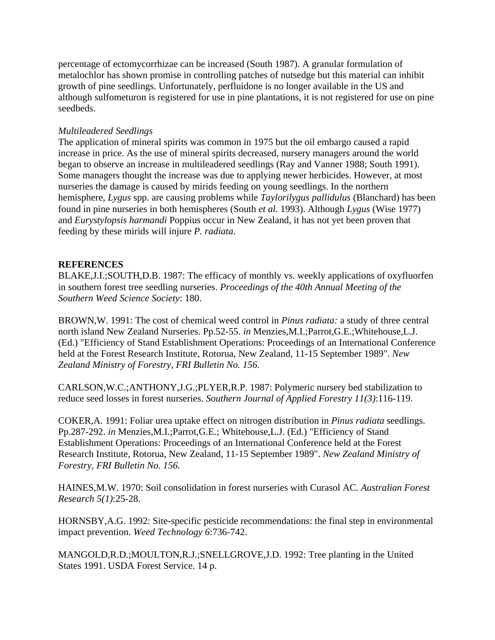percentage of ectomycorrhizae can be increased (South 1987). A granular formulation of metalochlor has shown promise in controlling patches of nutsedge but this material can inhibit growth of pine seedlings. Unfortunately, perfluidone is no longer available in the US and although sulfometuron is registered for use in pine plantations, it is not registered for use on pine seedbeds.

### *Multileadered Seedlings*

The application of mineral spirits was common in 1975 but the oil embargo caused a rapid increase in price. As the use of mineral spirits decreased, nursery managers around the world began to observe an increase in multileadered seedlings (Ray and Vanner 1988; South 1991). Some managers thought the increase was due to applying newer herbicides. However, at most nurseries the damage is caused by mirids feeding on young seedlings. In the northern hemisphere, *Lygus* spp. are causing problems while *Taylorilygus pallidulus* (Blanchard) has been found in pine nurseries in both hemispheres (South *et al.* 1993). Although *Lygus* (Wise 1977) and *Eurystylopsis harmandi* Poppius occur in New Zealand, it has not yet been proven that feeding by these mirids will injure *P. radiata*.

## **REFERENCES**

BLAKE,J.I.;SOUTH,D.B. 1987: The efficacy of monthly vs. weekly applications of oxyfluorfen in southern forest tree seedling nurseries. *Proceedings of the 40th Annual Meeting of the Southern Weed Science Society*: 180.

BROWN,W. 1991: The cost of chemical weed control in *Pinus radiata:* a study of three central north island New Zealand Nurseries. Pp.52-55. *in* Menzies,M.I.;Parrot,G.E.;Whitehouse,L.J. (Ed.) "Efficiency of Stand Establishment Operations: Proceedings of an International Conference held at the Forest Research Institute, Rotorua, New Zealand, 11-15 September 1989". *New Zealand Ministry of Forestry, FRI Bulletin No. 156.*

CARLSON,W.C.;ANTHONY,J.G.;PLYER,R.P. 1987: Polymeric nursery bed stabilization to reduce seed losses in forest nurseries. *Southern Journal of Applied Forestry 11(3)*:116-119.

COKER,A. 1991: Foliar urea uptake effect on nitrogen distribution in *Pinus radiata* seedlings. Pp.287-292. *in* Menzies,M.I.;Parrot,G.E.; Whitehouse,L.J. (Ed.) "Efficiency of Stand Establishment Operations: Proceedings of an International Conference held at the Forest Research Institute, Rotorua, New Zealand, 11-15 September 1989". *New Zealand Ministry of Forestry, FRI Bulletin No. 156.*

HAINES,M.W. 1970: Soil consolidation in forest nurseries with Curasol AC. *Australian Forest Research 5(1)*:25-28.

HORNSBY,A.G. 1992: Site-specific pesticide recommendations: the final step in environmental impact prevention. *Weed Technology 6*:736-742.

MANGOLD,R.D.;MOULTON,R.J.;SNELLGROVE,J.D. 1992: Tree planting in the United States 1991. USDA Forest Service. 14 p.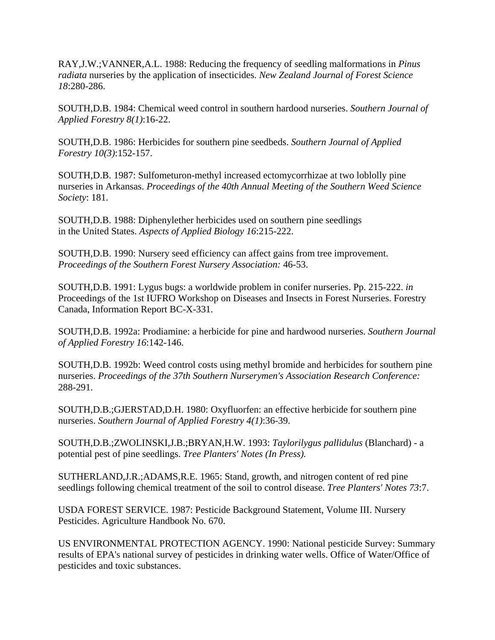RAY,J.W.;VANNER,A.L. 1988: Reducing the frequency of seedling malformations in *Pinus radiata* nurseries by the application of insecticides. *New Zealand Journal of Forest Science 18*:280-286.

SOUTH,D.B. 1984: Chemical weed control in southern hardood nurseries. *Southern Journal of Applied Forestry 8(1)*:16-22.

SOUTH,D.B. 1986: Herbicides for southern pine seedbeds. *Southern Journal of Applied Forestry 10(3)*:152-157.

SOUTH,D.B. 1987: Sulfometuron-methyl increased ectomycorrhizae at two loblolly pine nurseries in Arkansas. *Proceedings of the 40th Annual Meeting of the Southern Weed Science Society*: 181.

SOUTH,D.B. 1988: Diphenylether herbicides used on southern pine seedlings in the United States. *Aspects of Applied Biology 16*:215-222.

SOUTH,D.B. 1990: Nursery seed efficiency can affect gains from tree improvement. *Proceedings of the Southern Forest Nursery Association:* 46-53.

SOUTH,D.B. 1991: Lygus bugs: a worldwide problem in conifer nurseries. Pp. 215-222. *in* Proceedings of the 1st IUFRO Workshop on Diseases and Insects in Forest Nurseries. Forestry Canada, Information Report BC-X-331.

SOUTH,D.B. 1992a: Prodiamine: a herbicide for pine and hardwood nurseries. *Southern Journal of Applied Forestry 16*:142-146.

SOUTH,D.B. 1992b: Weed control costs using methyl bromide and herbicides for southern pine nurseries. *Proceedings of the 37th Southern Nurserymen's Association Research Conference:*  288-291.

SOUTH,D.B.;GJERSTAD,D.H. 1980: Oxyfluorfen: an effective herbicide for southern pine nurseries. *Southern Journal of Applied Forestry 4(1)*:36-39.

SOUTH,D.B.;ZWOLINSKI,J.B.;BRYAN,H.W. 1993: *Taylorilygus pallidulus* (Blanchard) - a potential pest of pine seedlings. *Tree Planters' Notes (In Press).*

SUTHERLAND,J.R.;ADAMS,R.E. 1965: Stand, growth, and nitrogen content of red pine seedlings following chemical treatment of the soil to control disease. *Tree Planters' Notes 73*:7.

USDA FOREST SERVICE. 1987: Pesticide Background Statement, Volume III. Nursery Pesticides. Agriculture Handbook No. 670.

US ENVIRONMENTAL PROTECTION AGENCY. 1990: National pesticide Survey: Summary results of EPA's national survey of pesticides in drinking water wells. Office of Water/Office of pesticides and toxic substances.